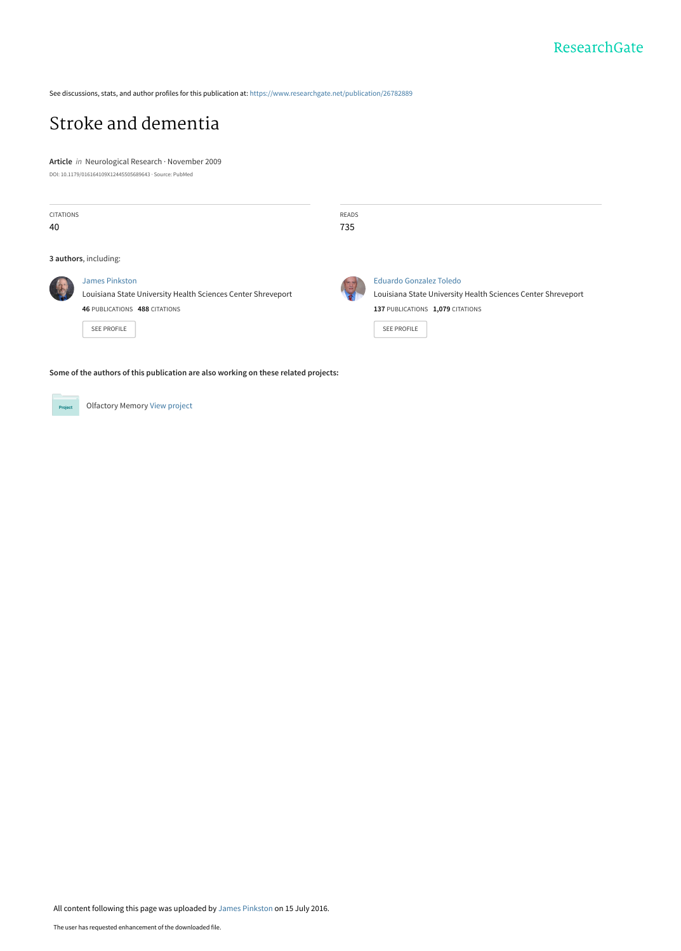See discussions, stats, and author profiles for this publication at: [https://www.researchgate.net/publication/26782889](https://www.researchgate.net/publication/26782889_Stroke_and_dementia?enrichId=rgreq-231e0d3933886d955254f91b6ba1c50c-XXX&enrichSource=Y292ZXJQYWdlOzI2NzgyODg5O0FTOjM4NDEyMTEyNjgzNDE3NkAxNDY4NTkzMDIxMDM5&el=1_x_2&_esc=publicationCoverPdf)

# [Stroke and dementia](https://www.researchgate.net/publication/26782889_Stroke_and_dementia?enrichId=rgreq-231e0d3933886d955254f91b6ba1c50c-XXX&enrichSource=Y292ZXJQYWdlOzI2NzgyODg5O0FTOjM4NDEyMTEyNjgzNDE3NkAxNDY4NTkzMDIxMDM5&el=1_x_3&_esc=publicationCoverPdf)

**Article** in Neurological Research · November 2009

DOI: 10.1179/016164109X12445505689643 · Source: PubMed

| Louisiana State University Health Sciences Center Shreveport |
|--------------------------------------------------------------|
|                                                              |
|                                                              |
|                                                              |

#### **Some of the authors of this publication are also working on these related projects:**

Olfactory Memory [View project](https://www.researchgate.net/project/Olfactory-Memory?enrichId=rgreq-231e0d3933886d955254f91b6ba1c50c-XXX&enrichSource=Y292ZXJQYWdlOzI2NzgyODg5O0FTOjM4NDEyMTEyNjgzNDE3NkAxNDY4NTkzMDIxMDM5&el=1_x_9&_esc=publicationCoverPdf) **Project**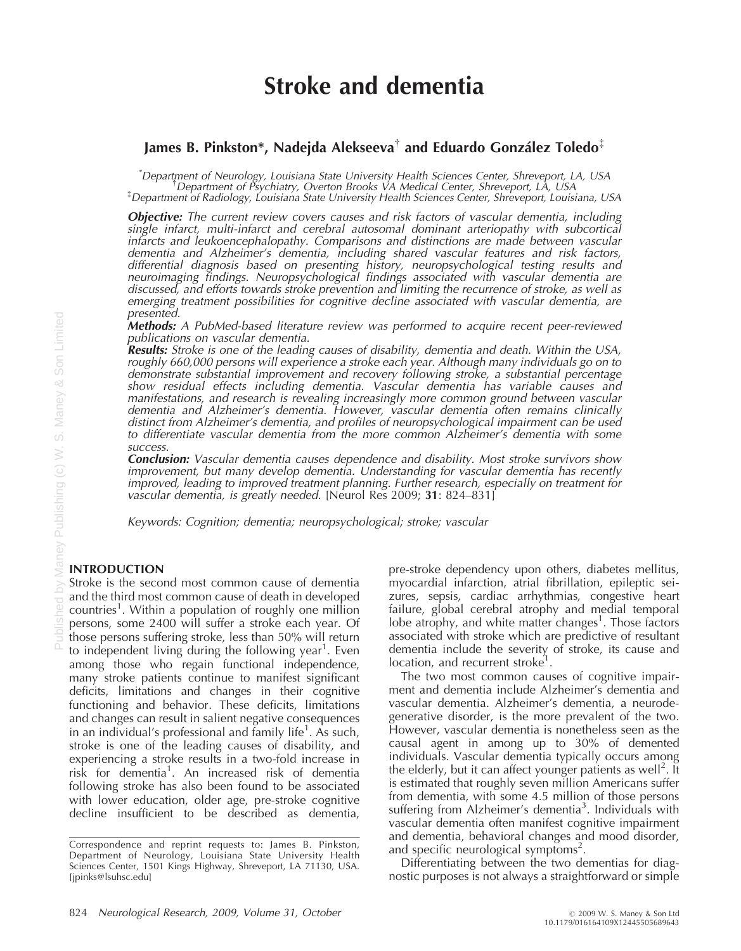## James B. Pinkston\*, Nadejda Alekseeva<sup>†</sup> and Eduardo González Toledo<sup>‡</sup>

\* Department of Neurology, Louisiana State University Health Sciences Center, Shreveport, LA, USA {

Department of Psychiatry, Overton Brooks VA Medical Center, Shreveport, LA, USA {<br>Department of Radiology, Louisiana State University Health Sciences Center, Shreveport, Louisiana, USA \*

Objective: The current review covers causes and risk factors of vascular dementia, including single infarct, multi-infarct and cerebral autosomal dominant arteriopathy with subcortical infarcts and leukoencephalopathy. Comparisons and distinctions are made between vascular dementia and Alzheimer's dementia, including shared vascular features and risk factors, differential diagnosis based on presenting history, neuropsychological testing results and neuroimaging findings. Neuropsychological findings associated with vascular dementia are discussed, and efforts towards stroke prevention and limiting the recurrence of stroke, as well as emerging treatment possibilities for cognitive decline associated with vascular dementia, are presented.

Methods: A PubMed-based literature review was performed to acquire recent peer-reviewed publications on vascular dementia.

Results: Stroke is one of the leading causes of disability, dementia and death. Within the USA, roughly 660,000 persons will experience a stroke each year. Although many individuals go on to demonstrate substantial improvement and recovery following stroke, a substantial percentage show residual effects including dementia. Vascular dementia has variable causes and manifestations, and research is revealing increasingly more common ground between vascular dementia and Alzheimer's dementia. However, vascular dementia often remains clinically distinct from Alzheimer's dementia, and profiles of neuropsychological impairment can be used to differentiate vascular dementia from the more common Alzheimer's dementia with some success.

**Conclusion:** Vascular dementia causes dependence and disability. Most stroke survivors show improvement, but many develop dementia. Understanding for vascular dementia has recently improved, leading to improved treatment planning. Further research, especially on treatment for vascular dementia, is greatly needed. [Neurol Res 2009; 31: 824–831]

Keywords: Cognition; dementia; neuropsychological; stroke; vascular

### INTRODUCTION

S. Maney & Son Limited

Publishing (c) W.

 $\geq$ 

Jblished

Published by Maney Publishing (c) W. S. Maney & Son Limited Stroke is the second most common cause of dementia and the third most common cause of death in developed countries<sup>1</sup>. Within a population of roughly one million persons, some 2400 will suffer a stroke each year. Of those persons suffering stroke, less than 50% will return to independent living during the following year<sup>1</sup>. Even among those who regain functional independence, many stroke patients continue to manifest significant deficits, limitations and changes in their cognitive functioning and behavior. These deficits, limitations and changes can result in salient negative consequences in an individual's professional and family life<sup>1</sup>. As such, stroke is one of the leading causes of disability, and experiencing a stroke results in a two-fold increase in risk for dementia1 . An increased risk of dementia following stroke has also been found to be associated with lower education, older age, pre-stroke cognitive decline insufficient to be described as dementia,

pre-stroke dependency upon others, diabetes mellitus, myocardial infarction, atrial fibrillation, epileptic seizures, sepsis, cardiac arrhythmias, congestive heart failure, global cerebral atrophy and medial temporal lobe atrophy, and white matter changes<sup>1</sup>. Those factors associated with stroke which are predictive of resultant dementia include the severity of stroke, its cause and location, and recurrent stroke<sup>1</sup>.

The two most common causes of cognitive impairment and dementia include Alzheimer's dementia and vascular dementia. Alzheimer's dementia, a neurodegenerative disorder, is the more prevalent of the two. However, vascular dementia is nonetheless seen as the causal agent in among up to 30% of demented individuals. Vascular dementia typically occurs among the elderly, but it can affect younger patients as well<sup>2</sup>. It is estimated that roughly seven million Americans suffer from dementia, with some 4.5 million of those persons suffering from Alzheimer's dementia<sup>3</sup>. Individuals with vascular dementia often manifest cognitive impairment and dementia, behavioral changes and mood disorder, and specific neurological symptoms<sup>2</sup>.

Differentiating between the two dementias for diagnostic purposes is not always a straightforward or simple

Correspondence and reprint requests to: James B. Pinkston, Department of Neurology, Louisiana State University Health Sciences Center, 1501 Kings Highway, Shreveport, LA 71130, USA.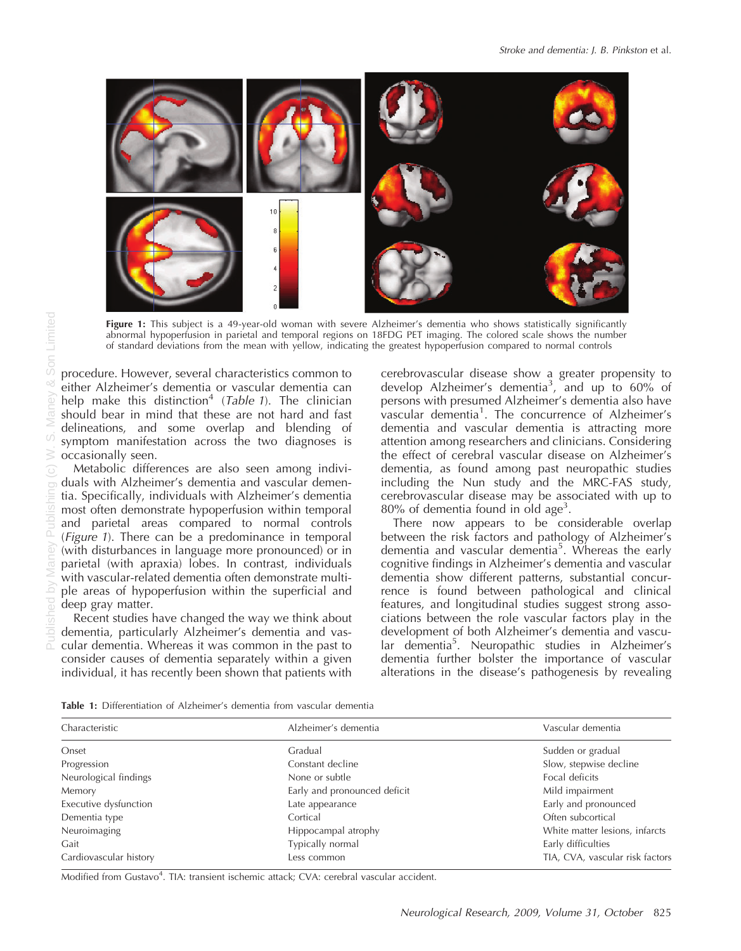

Figure 1: This subject is a 49-year-old woman with severe Alzheimer's dementia who shows statistically significantly abnormal hypoperfusion in parietal and temporal regions on 18FDG PET imaging. The colored scale shows the number of standard deviations from the mean with yellow, indicating the greatest hypoperfusion compared to normal controls

procedure. However, several characteristics common to either Alzheimer's dementia or vascular dementia can help make this distinction<sup>4</sup> (Table 1). The clinician should bear in mind that these are not hard and fast delineations, and some overlap and blending of symptom manifestation across the two diagnoses is  $\leq$  occasionally seen.

Metabolic differences are also seen among indivi- $\sim$  duals with Alzheimer's dementia and vascular dementia. Specifically, individuals with Alzheimer's dementia most often demonstrate hypoperfusion within temporal and parietal areas compared to normal controls (Figure 1). There can be a predominance in temporal (with disturbances in language more pronounced) or in parietal (with apraxia) lobes. In contrast, individuals with vascular-related dementia often demonstrate multiple areas of hypoperfusion within the superficial and  $\sqrt{a}$  deep gray matter.

Recent studies have changed the way we think about  $\overline{\triangle}$  dementia, particularly Alzheimer's dementia and vas- $\overline{\mathbb{C}}$  cular dementia. Whereas it was common in the past to consider causes of dementia separately within a given individual, it has recently been shown that patients with

cerebrovascular disease show a greater propensity to develop Alzheimer's dementia<sup>3</sup>, and up to 60% of persons with presumed Alzheimer's dementia also have .<br>vascular dementia<sup>1</sup>. The concurrence of Alzheimer's dementia and vascular dementia is attracting more attention among researchers and clinicians. Considering the effect of cerebral vascular disease on Alzheimer's dementia, as found among past neuropathic studies including the Nun study and the MRC-FAS study, cerebrovascular disease may be associated with up to 80% of dementia found in old age<sup>3</sup>.

There now appears to be considerable overlap between the risk factors and pathology of Alzheimer's dementia and vascular dementia<sup>5</sup>. Whereas the early cognitive findings in Alzheimer's dementia and vascular dementia show different patterns, substantial concurrence is found between pathological and clinical features, and longitudinal studies suggest strong associations between the role vascular factors play in the development of both Alzheimer's dementia and vascular dementia<sup>5</sup>. Neuropathic studies in Alzheimer's dementia further bolster the importance of vascular alterations in the disease's pathogenesis by revealing

| <b>Table 1:</b> Differentiation of Alzheimer's dementia from vascular dementia |
|--------------------------------------------------------------------------------|
|--------------------------------------------------------------------------------|

| Characteristic         | Alzheimer's dementia         | Vascular dementia               |
|------------------------|------------------------------|---------------------------------|
| Onset                  | Gradual                      | Sudden or gradual               |
| Progression            | Constant decline             | Slow, stepwise decline          |
| Neurological findings  | None or subtle               | Focal deficits                  |
| Memory                 | Early and pronounced deficit | Mild impairment                 |
| Executive dysfunction  | Late appearance              | Early and pronounced            |
| Dementia type          | Cortical                     | Often subcortical               |
| Neuroimaging           | Hippocampal atrophy          | White matter lesions, infarcts  |
| Gait                   | Typically normal             | Early difficulties              |
| Cardiovascular history | Less common                  | TIA, CVA, vascular risk factors |
|                        |                              |                                 |

Modified from Gustavo<sup>4</sup>. TIA: transient ischemic attack; CVA: cerebral vascular accident.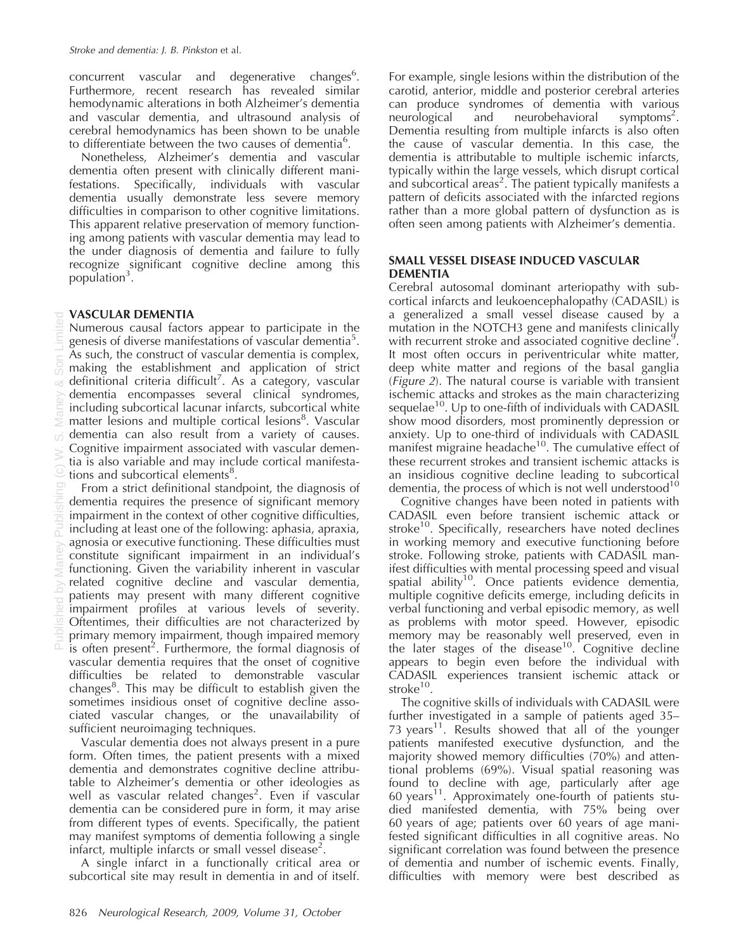concurrent vascular and degenerative changes<sup>6</sup>. Furthermore, recent research has revealed similar hemodynamic alterations in both Alzheimer's dementia and vascular dementia, and ultrasound analysis of cerebral hemodynamics has been shown to be unable to differentiate between the two causes of dementia<sup>6</sup>.

Nonetheless, Alzheimer's dementia and vascular dementia often present with clinically different manifestations. Specifically, individuals with vascular dementia usually demonstrate less severe memory difficulties in comparison to other cognitive limitations. This apparent relative preservation of memory functioning among patients with vascular dementia may lead to the under diagnosis of dementia and failure to fully recognize significant cognitive decline among this population<sup>3</sup>.

### VASCULAR DEMENTIA

Numerous causal factors appear to participate in the genesis of diverse manifestations of vascular dementia<sup>5</sup>. As such, the construct of vascular dementia is complex, making the establishment and application of strict definitional criteria difficult<sup>7</sup>. As a category, vascular dementia encompasses several clinical syndromes, including subcortical lacunar infarcts, subcortical white matter lesions and multiple cortical lesions<sup>8</sup>. Vascular  $\sigma$  dementia can also result from a variety of causes. Cognitive impairment associated with vascular dementia is also variable and may include cortical manifestations and subcortical elements<sup>8</sup>.

From a strict definitional standpoint, the diagnosis of dementia requires the presence of significant memory impairment in the context of other cognitive difficulties, including at least one of the following: aphasia, apraxia, agnosia or executive functioning. These difficulties must constitute significant impairment in an individual's functioning. Given the variability inherent in vascular related cognitive decline and vascular dementia, patients may present with many different cognitive impairment profiles at various levels of severity. Oftentimes, their difficulties are not characterized by primary memory impairment, though impaired memory is often present<sup>2</sup>. Furthermore, the formal diagnosis of vascular dementia requires that the onset of cognitive difficulties be related to demonstrable vascular changes<sup>8</sup>. This may be difficult to establish given the sometimes insidious onset of cognitive decline associated vascular changes, or the unavailability of sufficient neuroimaging techniques.

Vascular dementia does not always present in a pure form. Often times, the patient presents with a mixed dementia and demonstrates cognitive decline attributable to Alzheimer's dementia or other ideologies as well as vascular related changes<sup>2</sup>. Even if vascular dementia can be considered pure in form, it may arise from different types of events. Specifically, the patient may manifest symptoms of dementia following a single infarct, multiple infarcts or small vessel disease<sup>2</sup>.

A single infarct in a functionally critical area or subcortical site may result in dementia in and of itself. For example, single lesions within the distribution of the carotid, anterior, middle and posterior cerebral arteries can produce syndromes of dementia with various neurological and neurobehavioral symptoms<sup>2</sup>. Dementia resulting from multiple infarcts is also often the cause of vascular dementia. In this case, the dementia is attributable to multiple ischemic infarcts, typically within the large vessels, which disrupt cortical and subcortical areas<sup>2</sup>. The patient typically manifests a pattern of deficits associated with the infarcted regions rather than a more global pattern of dysfunction as is often seen among patients with Alzheimer's dementia.

#### SMALL VESSEL DISEASE INDUCED VASCULAR DEMENTIA

Cerebral autosomal dominant arteriopathy with subcortical infarcts and leukoencephalopathy (CADASIL) is a generalized a small vessel disease caused by a mutation in the NOTCH3 gene and manifests clinically with recurrent stroke and associated cognitive decline<sup>9</sup>. It most often occurs in periventricular white matter, deep white matter and regions of the basal ganglia (Figure 2). The natural course is variable with transient ischemic attacks and strokes as the main characterizing sequelae<sup>10</sup>. Up to one-fifth of individuals with CADASIL show mood disorders, most prominently depression or anxiety. Up to one-third of individuals with CADASIL manifest migraine headache<sup>10</sup>. The cumulative effect of these recurrent strokes and transient ischemic attacks is an insidious cognitive decline leading to subcortical dementia, the process of which is not well understood<sup>10</sup>

Cognitive changes have been noted in patients with CADASIL even before transient ischemic attack or stroke<sup>10</sup>. Specifically, researchers have noted declines in working memory and executive functioning before stroke. Following stroke, patients with CADASIL manifest difficulties with mental processing speed and visual spatial ability<sup>10</sup>. Once patients evidence dementia, multiple cognitive deficits emerge, including deficits in verbal functioning and verbal episodic memory, as well as problems with motor speed. However, episodic memory may be reasonably well preserved, even in the later stages of the disease<sup>10</sup>. Cognitive decline appears to begin even before the individual with CADASIL experiences transient ischemic attack or stroke<sup>10</sup>.

The cognitive skills of individuals with CADASIL were further investigated in a sample of patients aged 35– 73 years<sup>11</sup>. Results showed that all of the younger patients manifested executive dysfunction, and the majority showed memory difficulties (70%) and attentional problems (69%). Visual spatial reasoning was found to decline with age, particularly after age  $60$  years<sup>11</sup>. Approximately one-fourth of patients studied manifested dementia, with 75% being over 60 years of age; patients over 60 years of age manifested significant difficulties in all cognitive areas. No significant correlation was found between the presence of dementia and number of ischemic events. Finally, difficulties with memory were best described as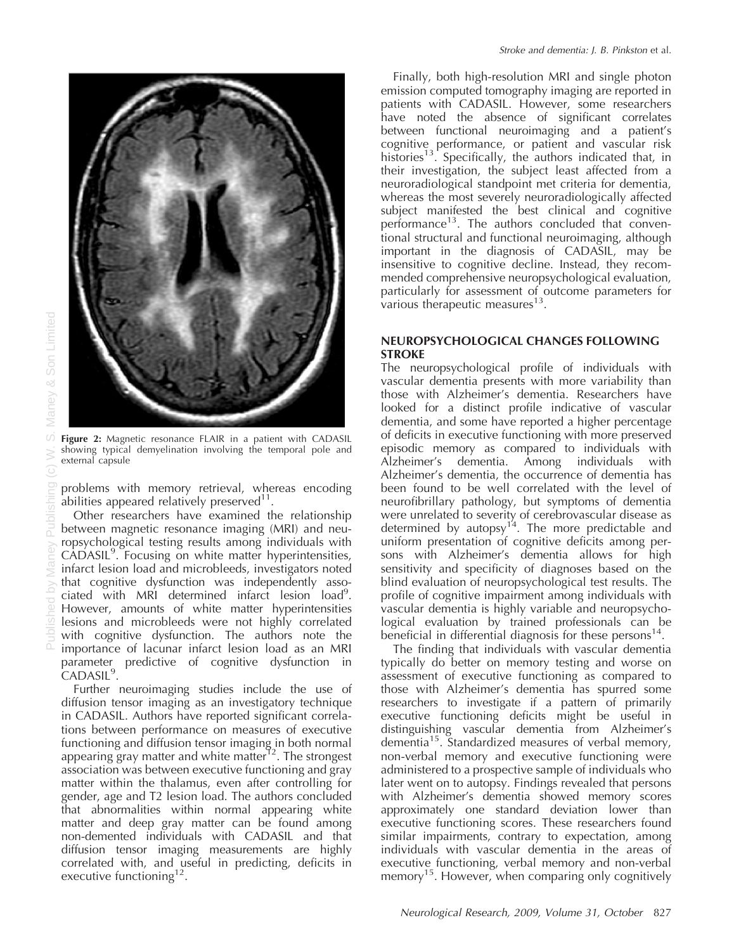

Figure 2: Magnetic resonance FLAIR in a patient with CADASIL showing typical demyelination involving the temporal pole and external capsule

problems with memory retrieval, whereas encoding abilities appeared relatively preserved $11$ .

Other researchers have examined the relationship between magnetic resonance imaging (MRI) and neuropsychological testing results among individuals with CADASIL<sup>9</sup>. Focusing on white matter hyperintensities, infarct lesion load and microbleeds, investigators noted that cognitive dysfunction was independently associated with MRI determined infarct lesion load<sup>9</sup>. However, amounts of white matter hyperintensities lesions and microbleeds were not highly correlated with cognitive dysfunction. The authors note the importance of lacunar infarct lesion load as an MRI parameter predictive of cognitive dysfunction in CADASIL<sup>9</sup>.

Further neuroimaging studies include the use of diffusion tensor imaging as an investigatory technique in CADASIL. Authors have reported significant correlations between performance on measures of executive functioning and diffusion tensor imaging in both normal appearing gray matter and white matter<sup>12</sup>. The strongest association was between executive functioning and gray matter within the thalamus, even after controlling for gender, age and T2 lesion load. The authors concluded that abnormalities within normal appearing white matter and deep gray matter can be found among non-demented individuals with CADASIL and that diffusion tensor imaging measurements are highly correlated with, and useful in predicting, deficits in executive functioning<sup>12</sup>.

Finally, both high-resolution MRI and single photon emission computed tomography imaging are reported in patients with CADASIL. However, some researchers have noted the absence of significant correlates between functional neuroimaging and a patient's cognitive performance, or patient and vascular risk histories<sup>13</sup>. Specifically, the authors indicated that, in their investigation, the subject least affected from a neuroradiological standpoint met criteria for dementia, whereas the most severely neuroradiologically affected subject manifested the best clinical and cognitive performance<sup>13</sup>. The authors concluded that conventional structural and functional neuroimaging, although important in the diagnosis of CADASIL, may be insensitive to cognitive decline. Instead, they recommended comprehensive neuropsychological evaluation, particularly for assessment of outcome parameters for various therapeutic measures $^{13}$ .

#### NEUROPSYCHOLOGICAL CHANGES FOLLOWING **STROKE**

The neuropsychological profile of individuals with vascular dementia presents with more variability than those with Alzheimer's dementia. Researchers have looked for a distinct profile indicative of vascular dementia, and some have reported a higher percentage of deficits in executive functioning with more preserved episodic memory as compared to individuals with<br>Alzheimer's dementia. Among individuals with Alzheimer's dementia. Among individuals Alzheimer's dementia, the occurrence of dementia has been found to be well correlated with the level of neurofibrillary pathology, but symptoms of dementia were unrelated to severity of cerebrovascular disease as determined by autopsy<sup>14</sup>. The more predictable and uniform presentation of cognitive deficits among persons with Alzheimer's dementia allows for high sensitivity and specificity of diagnoses based on the blind evaluation of neuropsychological test results. The profile of cognitive impairment among individuals with vascular dementia is highly variable and neuropsychological evaluation by trained professionals can be beneficial in differential diagnosis for these persons<sup>14</sup>.

The finding that individuals with vascular dementia typically do better on memory testing and worse on assessment of executive functioning as compared to those with Alzheimer's dementia has spurred some researchers to investigate if a pattern of primarily executive functioning deficits might be useful in distinguishing vascular dementia from Alzheimer's dementia<sup>15</sup>. Standardized measures of verbal memory, non-verbal memory and executive functioning were administered to a prospective sample of individuals who later went on to autopsy. Findings revealed that persons with Alzheimer's dementia showed memory scores approximately one standard deviation lower than executive functioning scores. These researchers found similar impairments, contrary to expectation, among individuals with vascular dementia in the areas of executive functioning, verbal memory and non-verbal memory<sup>15</sup>. However, when comparing only cognitively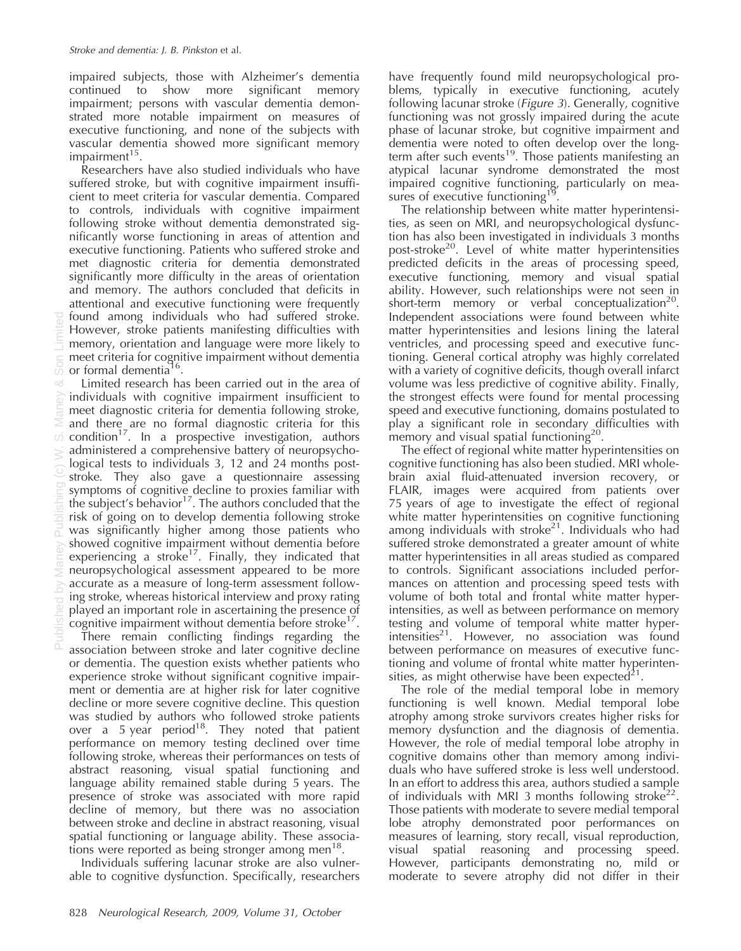impaired subjects, those with Alzheimer's dementia continued to show more significant memory impairment; persons with vascular dementia demonstrated more notable impairment on measures of executive functioning, and none of the subjects with vascular dementia showed more significant memory impairment $15$ .

Researchers have also studied individuals who have suffered stroke, but with cognitive impairment insufficient to meet criteria for vascular dementia. Compared to controls, individuals with cognitive impairment following stroke without dementia demonstrated significantly worse functioning in areas of attention and executive functioning. Patients who suffered stroke and met diagnostic criteria for dementia demonstrated significantly more difficulty in the areas of orientation and memory. The authors concluded that deficits in attentional and executive functioning were frequently found among individuals who had suffered stroke. However, stroke patients manifesting difficulties with memory, orientation and language were more likely to meet criteria for cognitive impairment without dementia  $\breve{\phi}$  or formal dementia<sup>16</sup>.

Limited research has been carried out in the area of  $\delta$  individuals with cognitive impairment insufficient to meet diagnostic criteria for dementia following stroke, and there are no formal diagnostic criteria for this  $\omega$  condition<sup>17</sup>. In a prospective investigation, authors administered a comprehensive battery of neuropsychological tests to individuals 3, 12 and 24 months poststroke. They also gave a questionnaire assessing symptoms of cognitive decline to proxies familiar with the subject's behavior<sup>17</sup>. The authors concluded that the risk of going on to develop dementia following stroke was significantly higher among those patients who showed cognitive impairment without dementia before experiencing a stroke<sup>17</sup>. Finally, they indicated that neuropsychological assessment appeared to be more accurate as a measure of long-term assessment following stroke, whereas historical interview and proxy rating played an important role in ascertaining the presence of cognitive impairment without dementia before stroke<sup>17</sup>.

There remain conflicting findings regarding the association between stroke and later cognitive decline or dementia. The question exists whether patients who experience stroke without significant cognitive impairment or dementia are at higher risk for later cognitive decline or more severe cognitive decline. This question was studied by authors who followed stroke patients over a 5 year period<sup>18</sup>. They noted that patient performance on memory testing declined over time following stroke, whereas their performances on tests of abstract reasoning, visual spatial functioning and language ability remained stable during 5 years. The presence of stroke was associated with more rapid decline of memory, but there was no association between stroke and decline in abstract reasoning, visual spatial functioning or language ability. These associations were reported as being stronger among men<sup>18</sup>.

Individuals suffering lacunar stroke are also vulnerable to cognitive dysfunction. Specifically, researchers

have frequently found mild neuropsychological problems, typically in executive functioning, acutely following lacunar stroke (Figure 3). Generally, cognitive functioning was not grossly impaired during the acute phase of lacunar stroke, but cognitive impairment and dementia were noted to often develop over the longterm after such events<sup>19</sup>. Those patients manifesting an atypical lacunar syndrome demonstrated the most impaired cognitive functioning, particularly on measures of executive functioning<sup>15</sup>

The relationship between white matter hyperintensities, as seen on MRI, and neuropsychological dysfunction has also been investigated in individuals 3 months post-stroke20. Level of white matter hyperintensities predicted deficits in the areas of processing speed, executive functioning, memory and visual spatial ability. However, such relationships were not seen in short-term memory or verbal conceptualization<sup>20</sup>. Independent associations were found between white matter hyperintensities and lesions lining the lateral ventricles, and processing speed and executive functioning. General cortical atrophy was highly correlated with a variety of cognitive deficits, though overall infarct volume was less predictive of cognitive ability. Finally, the strongest effects were found for mental processing speed and executive functioning, domains postulated to play a significant role in secondary difficulties with memory and visual spatial functioning<sup>20</sup>.

The effect of regional white matter hyperintensities on cognitive functioning has also been studied. MRI wholebrain axial fluid-attenuated inversion recovery, or FLAIR, images were acquired from patients over 75 years of age to investigate the effect of regional white matter hyperintensities on cognitive functioning among individuals with stroke $21$ . Individuals who had suffered stroke demonstrated a greater amount of white matter hyperintensities in all areas studied as compared to controls. Significant associations included performances on attention and processing speed tests with volume of both total and frontal white matter hyperintensities, as well as between performance on memory testing and volume of temporal white matter hyper $intensities<sup>21</sup>$ . However, no association was found between performance on measures of executive functioning and volume of frontal white matter hyperintensities, as might otherwise have been expected $2^1$ .

The role of the medial temporal lobe in memory functioning is well known. Medial temporal lobe atrophy among stroke survivors creates higher risks for memory dysfunction and the diagnosis of dementia. However, the role of medial temporal lobe atrophy in cognitive domains other than memory among individuals who have suffered stroke is less well understood. In an effort to address this area, authors studied a sample of individuals with MRI 3 months following stroke<sup>22</sup>. Those patients with moderate to severe medial temporal lobe atrophy demonstrated poor performances on measures of learning, story recall, visual reproduction, visual spatial reasoning and processing speed. However, participants demonstrating no, mild or moderate to severe atrophy did not differ in their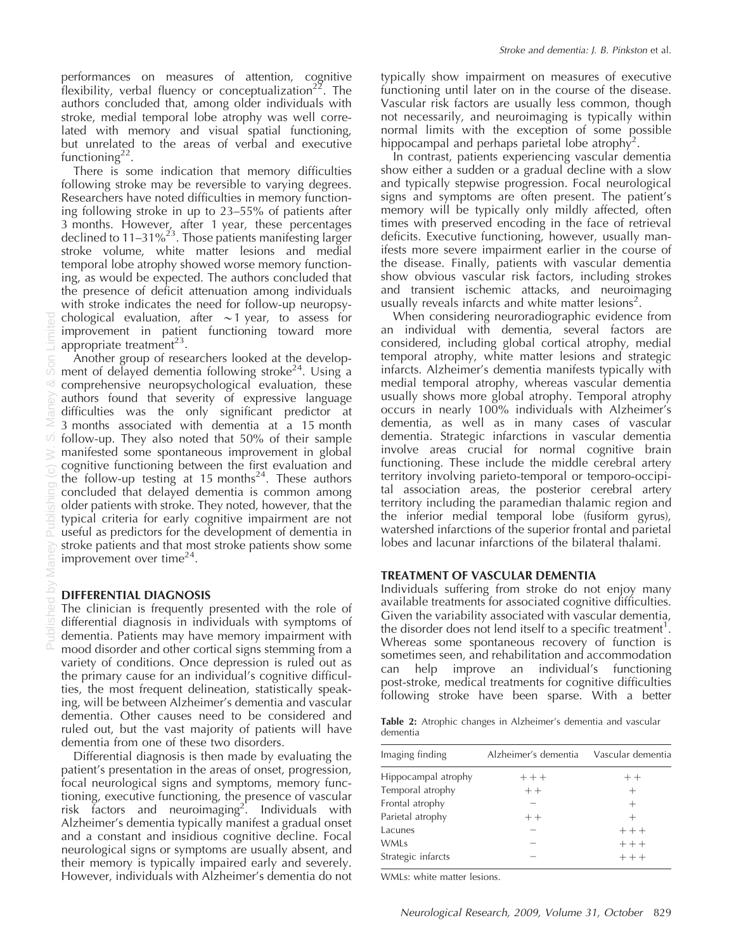There is some indication that memory difficulties following stroke may be reversible to varying degrees. Researchers have noted difficulties in memory functioning following stroke in up to 23–55% of patients after 3 months. However, after 1 year, these percentages declined to  $11-31\%^{23}$ . Those patients manifesting larger stroke volume, white matter lesions and medial temporal lobe atrophy showed worse memory functioning, as would be expected. The authors concluded that the presence of deficit attenuation among individuals with stroke indicates the need for follow-up neuropsychological evaluation, after  $\sim$ 1 year, to assess for improvement in patient functioning toward more appropriate treatment $^{23}$ .

Another group of researchers looked at the develop- $\delta$  ment of delayed dementia following stroke<sup>24</sup>. Using a comprehensive neuropsychological evaluation, these authors found that severity of expressive language difficulties was the only significant predictor at 3 months associated with dementia at  $a$  15 month follow-up. They also noted that 50% of their sample manifested some spontaneous improvement in global cognitive functioning between the first evaluation and the follow-up testing at 15 months<sup>24</sup>. These authors concluded that delayed dementia is common among older patients with stroke. They noted, however, that the typical criteria for early cognitive impairment are not useful as predictors for the development of dementia in stroke patients and that most stroke patients show some improvement over time $^{24}$ .

### DIFFERENTIAL DIAGNOSIS

The clinician is frequently presented with the role of differential diagnosis in individuals with symptoms of dementia. Patients may have memory impairment with mood disorder and other cortical signs stemming from a variety of conditions. Once depression is ruled out as the primary cause for an individual's cognitive difficulties, the most frequent delineation, statistically speaking, will be between Alzheimer's dementia and vascular dementia. Other causes need to be considered and ruled out, but the vast majority of patients will have dementia from one of these two disorders.

Differential diagnosis is then made by evaluating the patient's presentation in the areas of onset, progression, focal neurological signs and symptoms, memory functioning, executive functioning, the presence of vascular risk factors and neuroimaging<sup>2</sup>. Individuals with Alzheimer's dementia typically manifest a gradual onset and a constant and insidious cognitive decline. Focal neurological signs or symptoms are usually absent, and their memory is typically impaired early and severely. However, individuals with Alzheimer's dementia do not

typically show impairment on measures of executive functioning until later on in the course of the disease. Vascular risk factors are usually less common, though not necessarily, and neuroimaging is typically within normal limits with the exception of some possible hippocampal and perhaps parietal lobe atrophy<sup>2</sup>.

In contrast, patients experiencing vascular dementia show either a sudden or a gradual decline with a slow and typically stepwise progression. Focal neurological signs and symptoms are often present. The patient's memory will be typically only mildly affected, often times with preserved encoding in the face of retrieval deficits. Executive functioning, however, usually manifests more severe impairment earlier in the course of the disease. Finally, patients with vascular dementia show obvious vascular risk factors, including strokes and transient ischemic attacks, and neuroimaging usually reveals infarcts and white matter lesions<sup>2</sup>.

When considering neuroradiographic evidence from an individual with dementia, several factors are considered, including global cortical atrophy, medial temporal atrophy, white matter lesions and strategic infarcts. Alzheimer's dementia manifests typically with medial temporal atrophy, whereas vascular dementia usually shows more global atrophy. Temporal atrophy occurs in nearly 100% individuals with Alzheimer's dementia, as well as in many cases of vascular dementia. Strategic infarctions in vascular dementia involve areas crucial for normal cognitive brain functioning. These include the middle cerebral artery territory involving parieto-temporal or temporo-occipital association areas, the posterior cerebral artery territory including the paramedian thalamic region and the inferior medial temporal lobe (fusiform gyrus), watershed infarctions of the superior frontal and parietal lobes and lacunar infarctions of the bilateral thalami.

#### TREATMENT OF VASCULAR DEMENTIA

Individuals suffering from stroke do not enjoy many available treatments for associated cognitive difficulties. Given the variability associated with vascular dementia, the disorder does not lend itself to a specific treatment<sup>1</sup>. Whereas some spontaneous recovery of function is sometimes seen, and rehabilitation and accommodation can help improve an individual's functioning post-stroke, medical treatments for cognitive difficulties following stroke have been sparse. With a better

Table 2: Atrophic changes in Alzheimer's dementia and vascular dementia

| Imaging finding     | Alzheimer's dementia | Vascular dementia |
|---------------------|----------------------|-------------------|
| Hippocampal atrophy | $+++$                | $++$              |
| Temporal atrophy    | $++$                 | $^{+}$            |
| Frontal atrophy     |                      | $^{+}$            |
| Parietal atrophy    | $++$                 | $^{+}$            |
| Lacunes             |                      | $+++$             |
| <b>WMLs</b>         |                      | $+++$             |
| Strategic infarcts  |                      | $++ +$            |

WMLs: white matter lesions.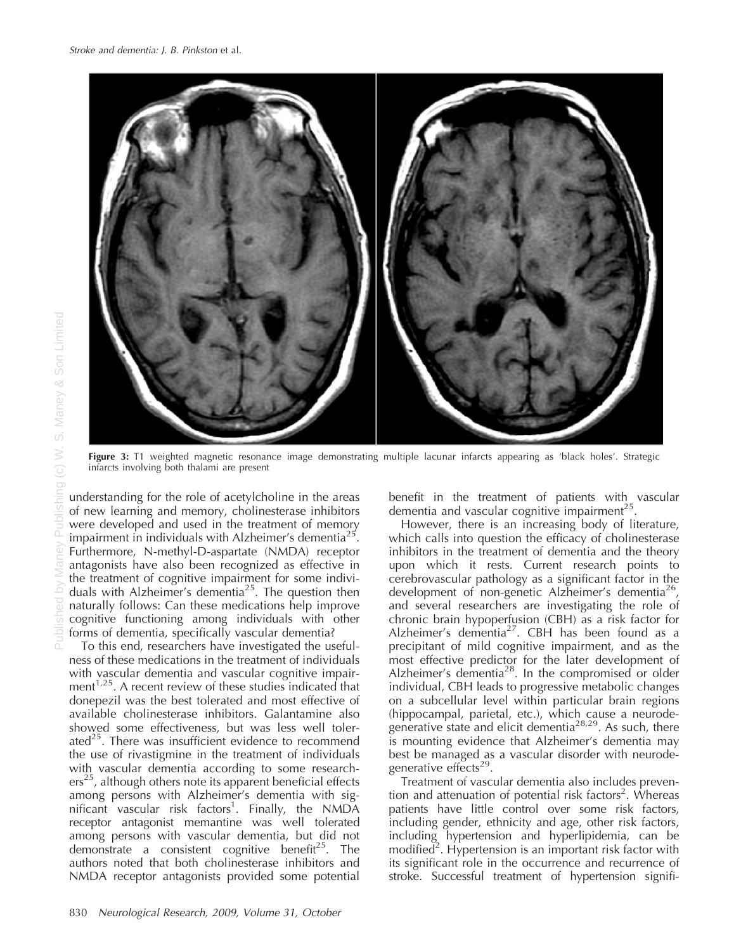

Figure 3: T1 weighted magnetic resonance image demonstrating multiple lacunar infarcts appearing as 'black holes'. Strategic infarcts involving both thalami are present

understanding for the role of acetylcholine in the areas of new learning and memory, cholinesterase inhibitors were developed and used in the treatment of memory impairment in individuals with Alzheimer's dementia<sup>25</sup>. Furthermore, N-methyl-D-aspartate (NMDA) receptor antagonists have also been recognized as effective in the treatment of cognitive impairment for some individuals with Alzheimer's dementia<sup>25</sup>. The question then naturally follows: Can these medications help improve cognitive functioning among individuals with other forms of dementia, specifically vascular dementia?

To this end, researchers have investigated the usefulness of these medications in the treatment of individuals with vascular dementia and vascular cognitive impairment $1.25$ . A recent review of these studies indicated that donepezil was the best tolerated and most effective of available cholinesterase inhibitors. Galantamine also showed some effectiveness, but was less well tolerated $^{25}$ . There was insufficient evidence to recommend the use of rivastigmine in the treatment of individuals with vascular dementia according to some research $ers<sup>25</sup>$ , although others note its apparent beneficial effects among persons with Alzheimer's dementia with significant vascular risk factors<sup>1</sup>. Finally, the NMDA receptor antagonist memantine was well tolerated among persons with vascular dementia, but did not demonstrate a consistent cognitive benefit<sup>25</sup>. The authors noted that both cholinesterase inhibitors and NMDA receptor antagonists provided some potential benefit in the treatment of patients with vascular dementia and vascular cognitive impairment $^{25}$ .

However, there is an increasing body of literature, which calls into question the efficacy of cholinesterase inhibitors in the treatment of dementia and the theory upon which it rests. Current research points to cerebrovascular pathology as a significant factor in the development of non-genetic Alzheimer's dementia<sup>26</sup>, and several researchers are investigating the role of chronic brain hypoperfusion (CBH) as a risk factor for Alzheimer's dementia<sup>27</sup>. CBH has been found as a precipitant of mild cognitive impairment, and as the most effective predictor for the later development of Alzheimer's dementia<sup>28</sup>. In the compromised or older individual, CBH leads to progressive metabolic changes on a subcellular level within particular brain regions (hippocampal, parietal, etc.), which cause a neurodegenerative state and elicit dementia<sup>28,29</sup>. As such, there is mounting evidence that Alzheimer's dementia may best be managed as a vascular disorder with neurodegenerative effects<sup>29</sup>.

Treatment of vascular dementia also includes prevention and attenuation of potential risk factors<sup>2</sup>. Whereas patients have little control over some risk factors, including gender, ethnicity and age, other risk factors, including hypertension and hyperlipidemia, can be modified<sup>2</sup>. Hypertension is an important risk factor with its significant role in the occurrence and recurrence of stroke. Successful treatment of hypertension signifi